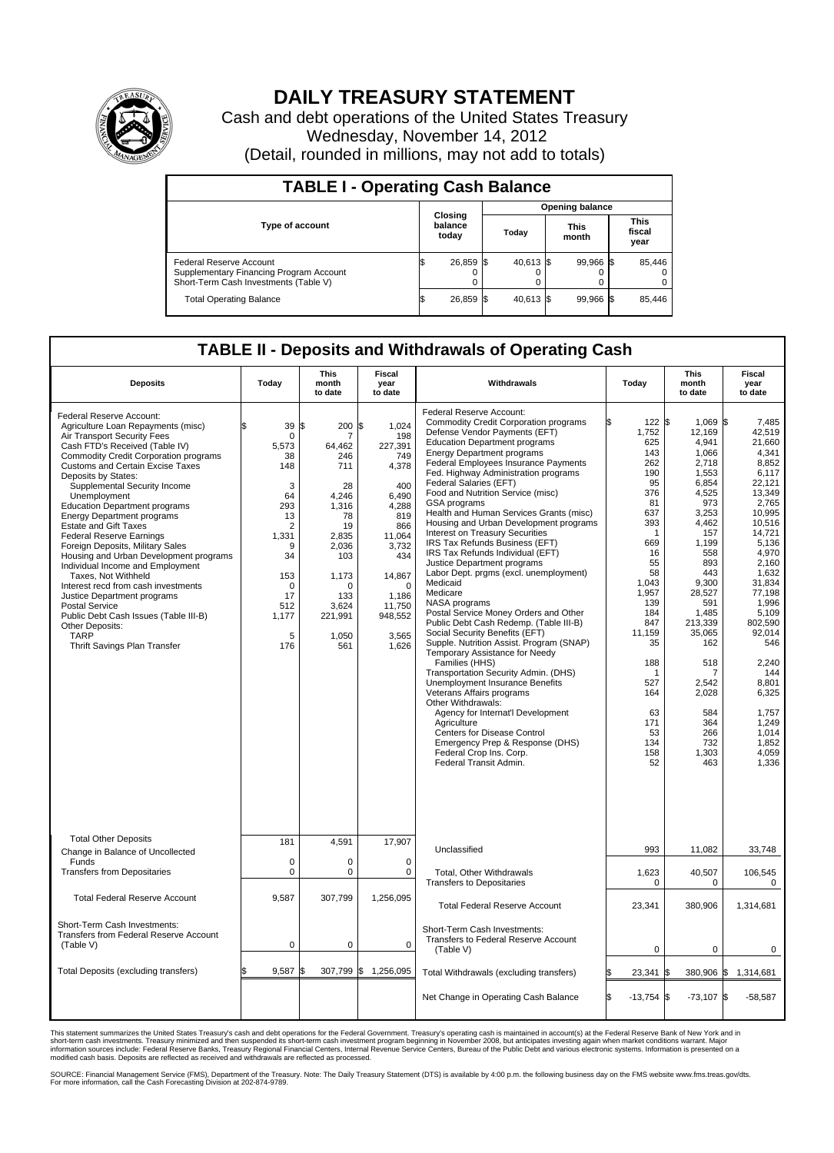

## **DAILY TREASURY STATEMENT**

Cash and debt operations of the United States Treasury Wednesday, November 14, 2012 (Detail, rounded in millions, may not add to totals)

| <b>TABLE I - Operating Cash Balance</b>                                                                     |                             |  |                        |  |                      |  |                               |  |  |  |  |
|-------------------------------------------------------------------------------------------------------------|-----------------------------|--|------------------------|--|----------------------|--|-------------------------------|--|--|--|--|
|                                                                                                             |                             |  | <b>Opening balance</b> |  |                      |  |                               |  |  |  |  |
| <b>Type of account</b>                                                                                      | Closing<br>balance<br>today |  | Today                  |  | <b>This</b><br>month |  | <b>This</b><br>fiscal<br>year |  |  |  |  |
| Federal Reserve Account<br>Supplementary Financing Program Account<br>Short-Term Cash Investments (Table V) | 26,859                      |  | 40,613 \$              |  | 99,966 \$<br>0       |  | 85,446                        |  |  |  |  |
| <b>Total Operating Balance</b>                                                                              | 26,859                      |  | 40.613 \$              |  | 99,966 \$            |  | 85,446                        |  |  |  |  |

## **TABLE II - Deposits and Withdrawals of Operating Cash**

| <b>Deposits</b>                                                                                                                                                                                                                                                                                                                                                                                                                                                                                                                                                                                                                                                                                                                                                                               | Today                                                                                                                                  | <b>This</b><br>month<br>to date                                                                                                                                         | Fiscal<br>year<br>to date                                                                                                                                                                | Withdrawals                                                                                                                                                                                                                                                                                                                                                                                                                                                                                                                                                                                                                                                                                                                                                                                                                                                                                                                                                                                                                                                                                                                                                                                         | Today                                                                                                                                                                                                                              | This<br>month<br>to date                                                                                                                                                                                                                                                        | Fiscal<br>year<br>to date                                                                                                                                                                                                                                                                                     |  |  |
|-----------------------------------------------------------------------------------------------------------------------------------------------------------------------------------------------------------------------------------------------------------------------------------------------------------------------------------------------------------------------------------------------------------------------------------------------------------------------------------------------------------------------------------------------------------------------------------------------------------------------------------------------------------------------------------------------------------------------------------------------------------------------------------------------|----------------------------------------------------------------------------------------------------------------------------------------|-------------------------------------------------------------------------------------------------------------------------------------------------------------------------|------------------------------------------------------------------------------------------------------------------------------------------------------------------------------------------|-----------------------------------------------------------------------------------------------------------------------------------------------------------------------------------------------------------------------------------------------------------------------------------------------------------------------------------------------------------------------------------------------------------------------------------------------------------------------------------------------------------------------------------------------------------------------------------------------------------------------------------------------------------------------------------------------------------------------------------------------------------------------------------------------------------------------------------------------------------------------------------------------------------------------------------------------------------------------------------------------------------------------------------------------------------------------------------------------------------------------------------------------------------------------------------------------------|------------------------------------------------------------------------------------------------------------------------------------------------------------------------------------------------------------------------------------|---------------------------------------------------------------------------------------------------------------------------------------------------------------------------------------------------------------------------------------------------------------------------------|---------------------------------------------------------------------------------------------------------------------------------------------------------------------------------------------------------------------------------------------------------------------------------------------------------------|--|--|
| Federal Reserve Account:<br>Agriculture Loan Repayments (misc)<br>Air Transport Security Fees<br>Cash FTD's Received (Table IV)<br><b>Commodity Credit Corporation programs</b><br>Customs and Certain Excise Taxes<br>Deposits by States:<br>Supplemental Security Income<br>Unemployment<br><b>Education Department programs</b><br><b>Energy Department programs</b><br><b>Estate and Gift Taxes</b><br><b>Federal Reserve Earnings</b><br>Foreign Deposits, Military Sales<br>Housing and Urban Development programs<br>Individual Income and Employment<br>Taxes, Not Withheld<br>Interest recd from cash investments<br>Justice Department programs<br><b>Postal Service</b><br>Public Debt Cash Issues (Table III-B)<br>Other Deposits:<br><b>TARP</b><br>Thrift Savings Plan Transfer | 39<br>0<br>5,573<br>38<br>148<br>3<br>64<br>293<br>13<br>2<br>1,331<br>9<br>34<br>153<br>$\mathbf 0$<br>17<br>512<br>1,177<br>5<br>176 | l\$<br>200<br>7<br>64,462<br>246<br>711<br>28<br>4,246<br>1.316<br>78<br>19<br>2,835<br>2,036<br>103<br>1,173<br>$\mathbf 0$<br>133<br>3,624<br>221,991<br>1,050<br>561 | 1.024<br>l\$<br>198<br>227,391<br>749<br>4,378<br>400<br>6.490<br>4,288<br>819<br>866<br>11,064<br>3,732<br>434<br>14,867<br>$\mathbf 0$<br>1,186<br>11,750<br>948,552<br>3,565<br>1,626 | Federal Reserve Account:<br><b>Commodity Credit Corporation programs</b><br>Defense Vendor Payments (EFT)<br><b>Education Department programs</b><br><b>Energy Department programs</b><br>Federal Employees Insurance Payments<br>Fed. Highway Administration programs<br>Federal Salaries (EFT)<br>Food and Nutrition Service (misc)<br>GSA programs<br>Health and Human Services Grants (misc)<br>Housing and Urban Development programs<br>Interest on Treasury Securities<br>IRS Tax Refunds Business (EFT)<br>IRS Tax Refunds Individual (EFT)<br>Justice Department programs<br>Labor Dept. prgms (excl. unemployment)<br>Medicaid<br>Medicare<br>NASA programs<br>Postal Service Money Orders and Other<br>Public Debt Cash Redemp. (Table III-B)<br>Social Security Benefits (EFT)<br>Supple. Nutrition Assist. Program (SNAP)<br>Temporary Assistance for Needy<br>Families (HHS)<br>Transportation Security Admin. (DHS)<br>Unemployment Insurance Benefits<br>Veterans Affairs programs<br>Other Withdrawals:<br>Agency for Internat'l Development<br>Agriculture<br>Centers for Disease Control<br>Emergency Prep & Response (DHS)<br>Federal Crop Ins. Corp.<br>Federal Transit Admin. | 122S<br>1,752<br>625<br>143<br>262<br>190<br>95<br>376<br>81<br>637<br>393<br>-1<br>669<br>16<br>55<br>58<br>1,043<br>1,957<br>139<br>184<br>847<br>11,159<br>35<br>188<br>-1<br>527<br>164<br>63<br>171<br>53<br>134<br>158<br>52 | 1,069 \$<br>12,169<br>4,941<br>1,066<br>2,718<br>1,553<br>6,854<br>4,525<br>973<br>3,253<br>4,462<br>157<br>1,199<br>558<br>893<br>443<br>9,300<br>28,527<br>591<br>1,485<br>213,339<br>35,065<br>162<br>518<br>7<br>2.542<br>2,028<br>584<br>364<br>266<br>732<br>1,303<br>463 | 7.485<br>42.519<br>21,660<br>4,341<br>8,852<br>6.117<br>22.121<br>13,349<br>2,765<br>10,995<br>10,516<br>14,721<br>5,136<br>4,970<br>2.160<br>1,632<br>31,834<br>77,198<br>1,996<br>5.109<br>802,590<br>92,014<br>546<br>2,240<br>144<br>8.801<br>6,325<br>1,757<br>1,249<br>1,014<br>1,852<br>4,059<br>1,336 |  |  |
| <b>Total Other Deposits</b><br>Change in Balance of Uncollected                                                                                                                                                                                                                                                                                                                                                                                                                                                                                                                                                                                                                                                                                                                               | 181                                                                                                                                    | 4,591                                                                                                                                                                   | 17,907                                                                                                                                                                                   | Unclassified                                                                                                                                                                                                                                                                                                                                                                                                                                                                                                                                                                                                                                                                                                                                                                                                                                                                                                                                                                                                                                                                                                                                                                                        | 993                                                                                                                                                                                                                                | 11,082                                                                                                                                                                                                                                                                          | 33,748                                                                                                                                                                                                                                                                                                        |  |  |
| Funds<br><b>Transfers from Depositaries</b>                                                                                                                                                                                                                                                                                                                                                                                                                                                                                                                                                                                                                                                                                                                                                   | $\mathbf 0$<br>0                                                                                                                       | $\mathbf 0$<br>$\mathbf 0$                                                                                                                                              | $\mathbf 0$<br>0                                                                                                                                                                         | Total, Other Withdrawals<br><b>Transfers to Depositaries</b>                                                                                                                                                                                                                                                                                                                                                                                                                                                                                                                                                                                                                                                                                                                                                                                                                                                                                                                                                                                                                                                                                                                                        | 1,623<br>0                                                                                                                                                                                                                         | 40,507<br>0                                                                                                                                                                                                                                                                     | 106,545<br>0                                                                                                                                                                                                                                                                                                  |  |  |
| <b>Total Federal Reserve Account</b>                                                                                                                                                                                                                                                                                                                                                                                                                                                                                                                                                                                                                                                                                                                                                          | 9,587                                                                                                                                  | 307,799                                                                                                                                                                 | 1,256,095                                                                                                                                                                                | <b>Total Federal Reserve Account</b>                                                                                                                                                                                                                                                                                                                                                                                                                                                                                                                                                                                                                                                                                                                                                                                                                                                                                                                                                                                                                                                                                                                                                                | 23,341                                                                                                                                                                                                                             | 380,906                                                                                                                                                                                                                                                                         | 1,314,681                                                                                                                                                                                                                                                                                                     |  |  |
| Short-Term Cash Investments:<br>Transfers from Federal Reserve Account<br>(Table V)                                                                                                                                                                                                                                                                                                                                                                                                                                                                                                                                                                                                                                                                                                           | $\Omega$                                                                                                                               | $\mathbf 0$                                                                                                                                                             | $\mathbf 0$                                                                                                                                                                              | Short-Term Cash Investments:<br>Transfers to Federal Reserve Account<br>(Table V)                                                                                                                                                                                                                                                                                                                                                                                                                                                                                                                                                                                                                                                                                                                                                                                                                                                                                                                                                                                                                                                                                                                   | $\mathbf 0$                                                                                                                                                                                                                        | $\mathbf 0$                                                                                                                                                                                                                                                                     | 0                                                                                                                                                                                                                                                                                                             |  |  |
| Total Deposits (excluding transfers)                                                                                                                                                                                                                                                                                                                                                                                                                                                                                                                                                                                                                                                                                                                                                          | 9,587                                                                                                                                  | \$<br>307,799                                                                                                                                                           | \$<br>1,256,095                                                                                                                                                                          | Total Withdrawals (excluding transfers)                                                                                                                                                                                                                                                                                                                                                                                                                                                                                                                                                                                                                                                                                                                                                                                                                                                                                                                                                                                                                                                                                                                                                             | 23,341                                                                                                                                                                                                                             | 380,906                                                                                                                                                                                                                                                                         | 1\$<br>1,314,681                                                                                                                                                                                                                                                                                              |  |  |
|                                                                                                                                                                                                                                                                                                                                                                                                                                                                                                                                                                                                                                                                                                                                                                                               |                                                                                                                                        |                                                                                                                                                                         |                                                                                                                                                                                          | Net Change in Operating Cash Balance                                                                                                                                                                                                                                                                                                                                                                                                                                                                                                                                                                                                                                                                                                                                                                                                                                                                                                                                                                                                                                                                                                                                                                | l\$<br>$-13,754$ \$                                                                                                                                                                                                                | $-73,107$ \$                                                                                                                                                                                                                                                                    | $-58,587$                                                                                                                                                                                                                                                                                                     |  |  |

This statement summarizes the United States Treasury's cash and debt operations for the Federal Government. Treasury's operating cash is maintained in account(s) at the Federal Reserve Bank of New York and in<br>short-term ca

SOURCE: Financial Management Service (FMS), Department of the Treasury. Note: The Daily Treasury Statement (DTS) is available by 4:00 p.m. the following business day on the FMS website www.fms.treas.gov/dts.<br>For more infor